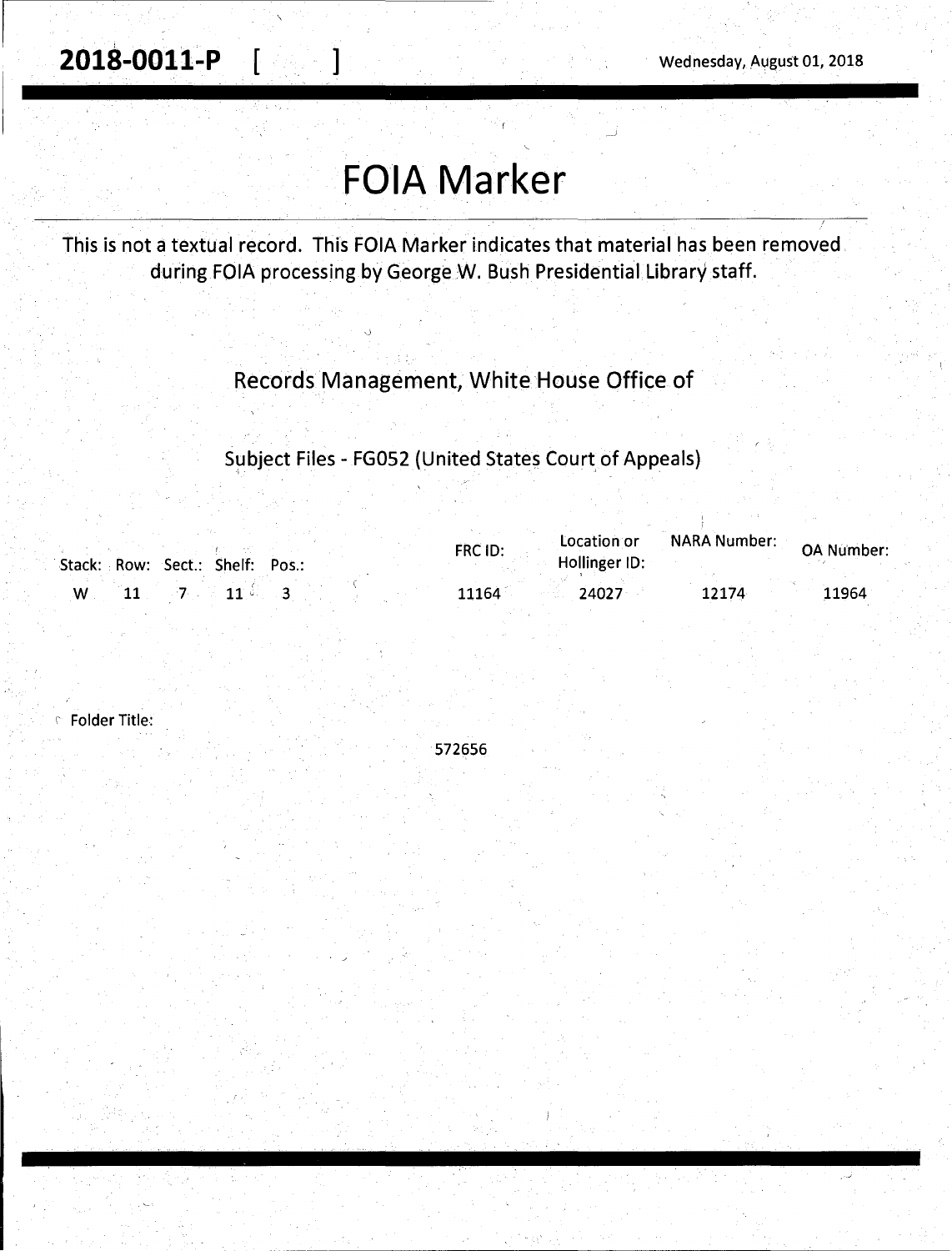**201S-0011-P** [ ] Wednesday, August 01, 2018

# **FOIA Marker**

This is not a textual record. This FOIA Marker indicates that material has been removed during FOIA processing by George W. Bush Presidential Library staff.

### Records Management, White House Office of

Subject Files - FG052 (United States Court of Appeals)

| Stack: Row: Sect.: Shelf: Pos.: | Location or<br>FRC ID:<br>Hollinger ID: | <b>NARA Number:</b> | <b>OA Number:</b> |
|---------------------------------|-----------------------------------------|---------------------|-------------------|
|                                 | 24027<br>11164                          | 12174               | 11964             |

' Folder Title:

572656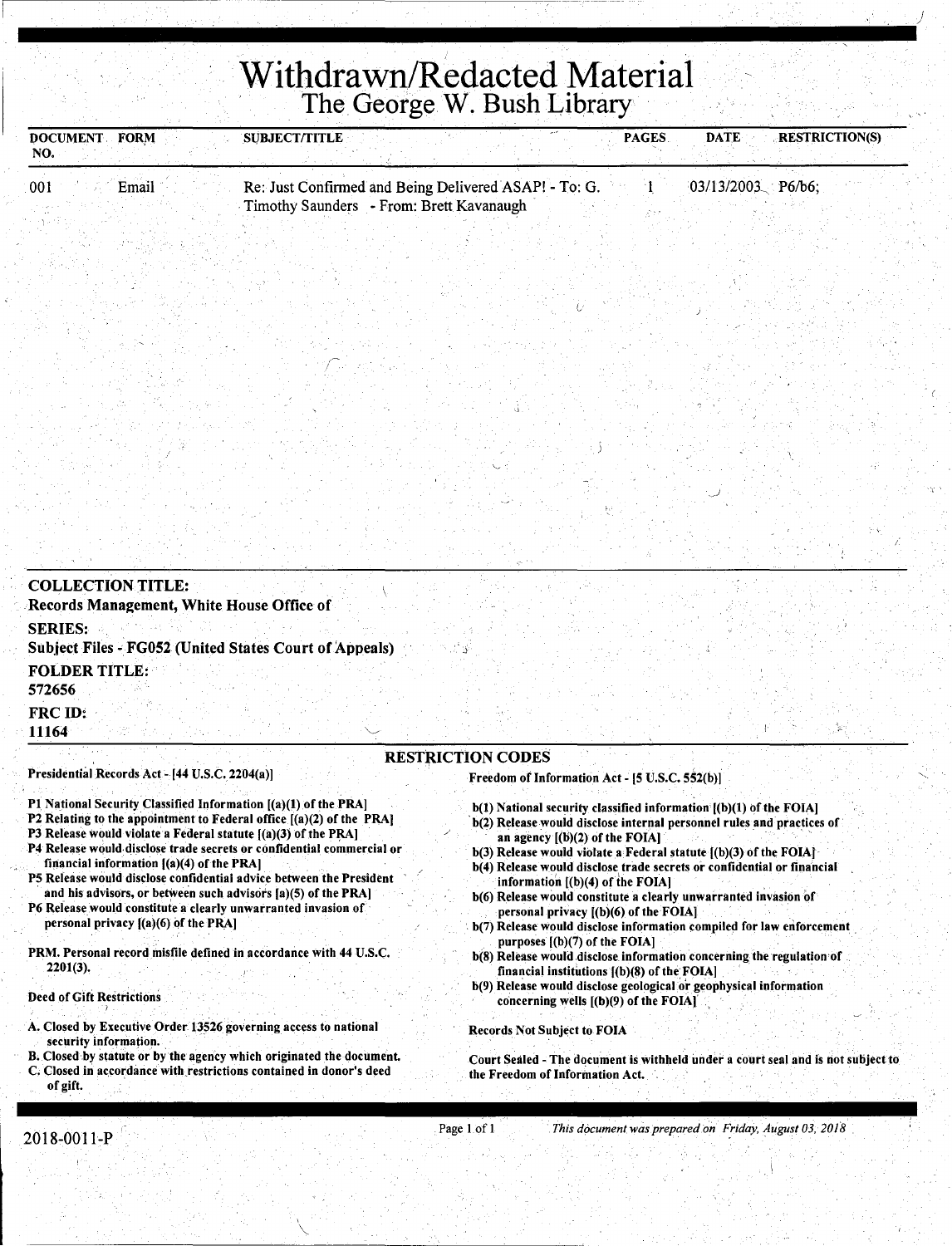## ..................................................... **Withdrawn/Redacted Material**  The George W. Bush Library

| NO. | <b>FORM</b><br><b>DOCUMENT</b> | <b>SUBJECT/TITLE</b> |                                                                                                   | <b>PAGES</b> | <b>DATE</b>         | <b>RESTRICTION(S)</b> |
|-----|--------------------------------|----------------------|---------------------------------------------------------------------------------------------------|--------------|---------------------|-----------------------|
| 001 | Email                          |                      | Re: Just Confirmed and Being Delivered ASAP! - To: G.<br>Timothy Saunders - From: Brett Kavanaugh |              | $03/13/2003$ P6/b6; |                       |
|     |                                |                      |                                                                                                   |              |                     |                       |

| <b>COLLECTION TITLE:</b><br>Records Management, White House Office of                                                                                                                                        |                                                                                                                                                                               |
|--------------------------------------------------------------------------------------------------------------------------------------------------------------------------------------------------------------|-------------------------------------------------------------------------------------------------------------------------------------------------------------------------------|
| <b>SERIES:</b><br><b>Subject Files - FG052 (United States Court of Appeals)</b>                                                                                                                              |                                                                                                                                                                               |
| <b>FOLDER TITLE:</b><br>572656                                                                                                                                                                               |                                                                                                                                                                               |
| FRC ID:<br>11164                                                                                                                                                                                             |                                                                                                                                                                               |
| Presidential Records Act - [44 U.S.C. 2204(a)]                                                                                                                                                               | <b>RESTRICTION CODES</b><br>Freedom of Information Act - [5 U.S.C. 552(b)]                                                                                                    |
| P1 National Security Classified Information [(a)(1) of the PRA]<br>P2 Relating to the appointment to Federal office $[(a)(2)$ of the PRA<br>P3 Release would violate a Federal statute $I(a)(3)$ of the PRA] | b(1) National security classified information [(b)(1) of the FOIA]<br>b(2) Release would disclose internal personnel rules and practices of<br>an agency [(b)(2) of the FOIAl |

- P4 Release would disclose trade secrets or confidential commercial or financial information  $[(a)(4)$  of the PRA]
- PS Release would disclose confidential advice between the President and his advisors, or between such advisors [a](5) of the PRA]
- P6 Release would constitute a clearly unwarranted invasion of personal privacy  $[(a)(6)$  of the PRA]
- PRM. Personal record misfile defined in accordance with 44 U.S.c. 2201(3).

Deed of Gift Restrictions

- . . . . A. Closed by Executive Order 13526 governing access to national security information.
- B. Closed by statute or by the agency which originated the document.
- C. Closed in accordance with.restrictions contained in donor's deed of gift.
- agency  $[(D)(Z)$  of the FOIA] b(3) Release would violate a Federal statute [(b)(3) of the FOIAJ
- b(4) Release would disclose trade secrets or confidential or financial information  $[(b)(4)$  of the FOIA]

)

- b(6) Release would constitute a clearly unwarranted invasion of personal privacy  $[(b)(6)$  of the FOIA]
- b(7) Release would disclose information compiled for law enforcement purposes  $[(b)(7)$  of the FOIA]
- $b(8)$  Release would disclose information concerning the regulation of financial institutions [(b)(8) of the FOIA]
- b(9) Release would disclose geological or geophysical information concerning wells [(b)(9) of the FOIA] ·

Records Not Subject to FOIA

Court Sealed - The document is withheld under a court seal and is not subject. to the Freedom of Information Act.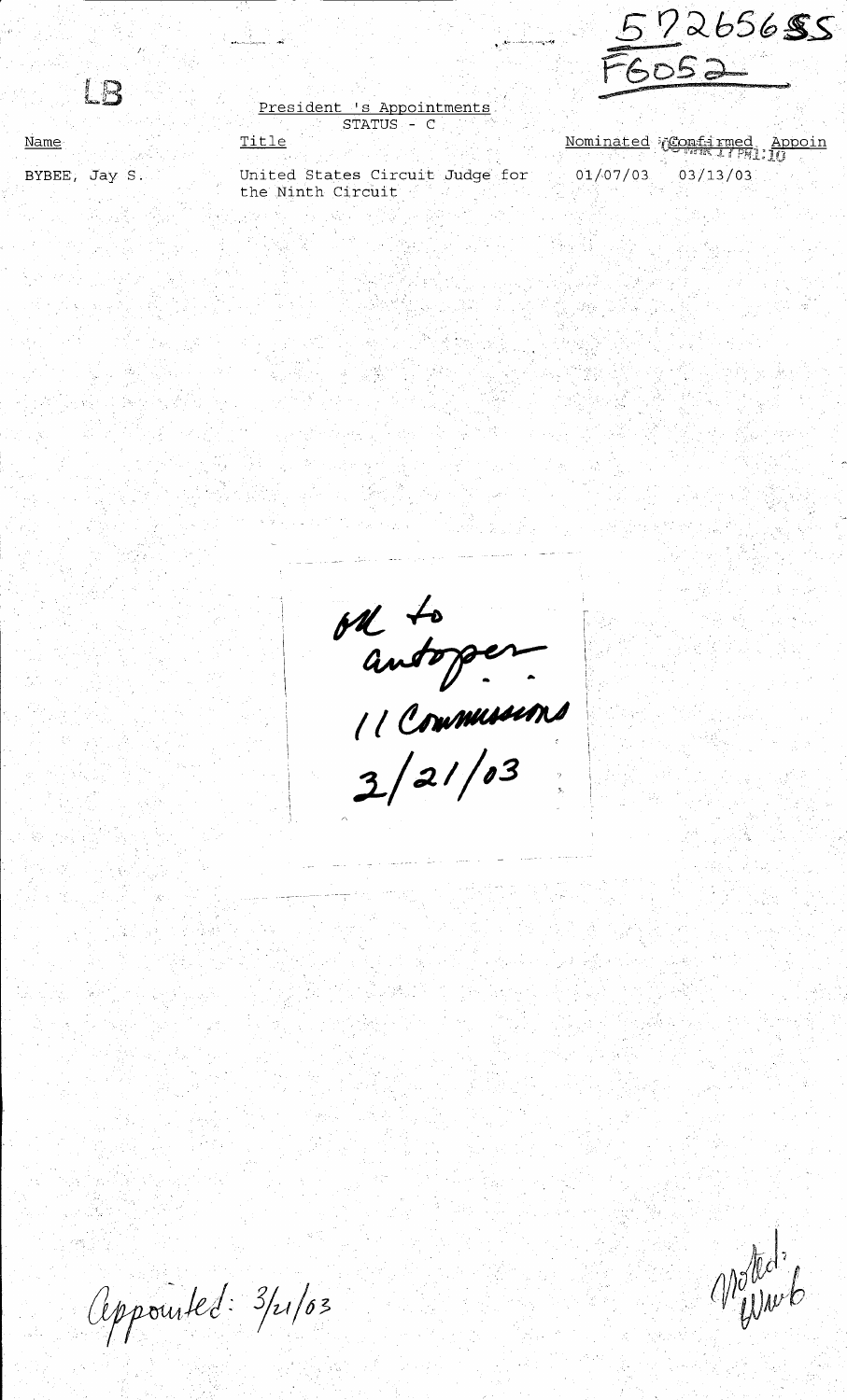15

Name

BYBEE, Jay S.

President 's Appointments STATUS - C Title

ال الي الي.<br>تحريف المسلم

United States Circuit Judge for the Ninth Circuit

Nominated Confirmed Appoin 01/07/03 03/13/03

6052

 $7265655$ 

outoper

Appourted: 3/21/03

Moted.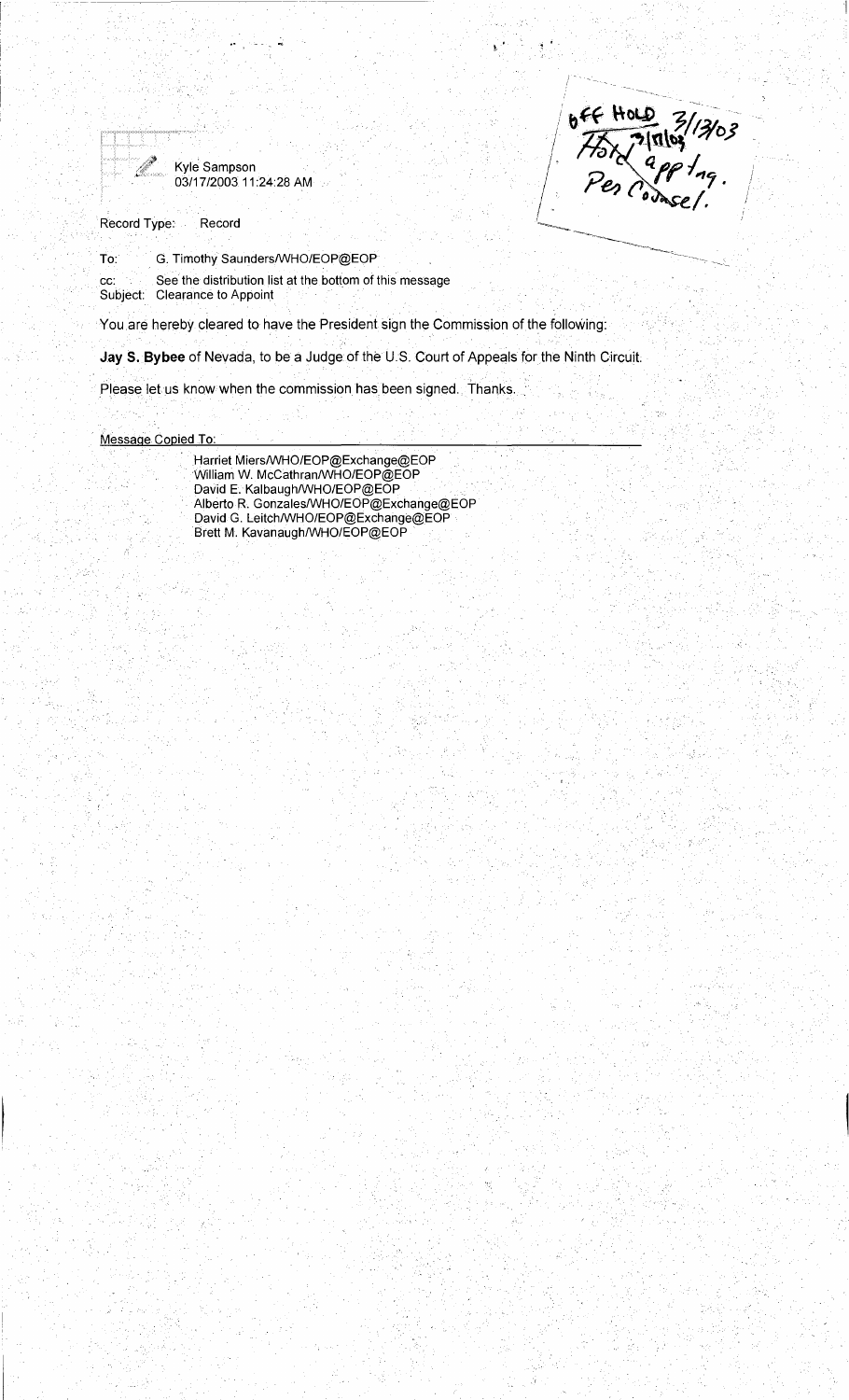

Kyle Sampson 03/1712003 11 :24:28 AM



I

Record Type: Record

To: G. Timothy Saunders/WHO/EOP@EOP

cc: See the distribution list at the bottom of this message Subject: Clearance to Appoint

You are hereby cleared to have the President sign the Commission of the following:

**Jay 5. Bybee** of Nevada, to be a Judge of the U.S. Court of Appeals for the Ninth Circuit.

.Please let us know when the commission has been signed. Thanks.

Message Copied To:

Harriet Miers/WHO/EOP@Exchange@EOP William w. McCathran/WHO/EOP@EOP David E. Kalbaugh/WHO/EOP@EOP Alberto R. Gonzales/WHO/EOP@Exchange@EOP David G. Leitch/WHO/EOP@Exchange@EOP Brett M. Kavanaugh/WHO/EOP@EOP .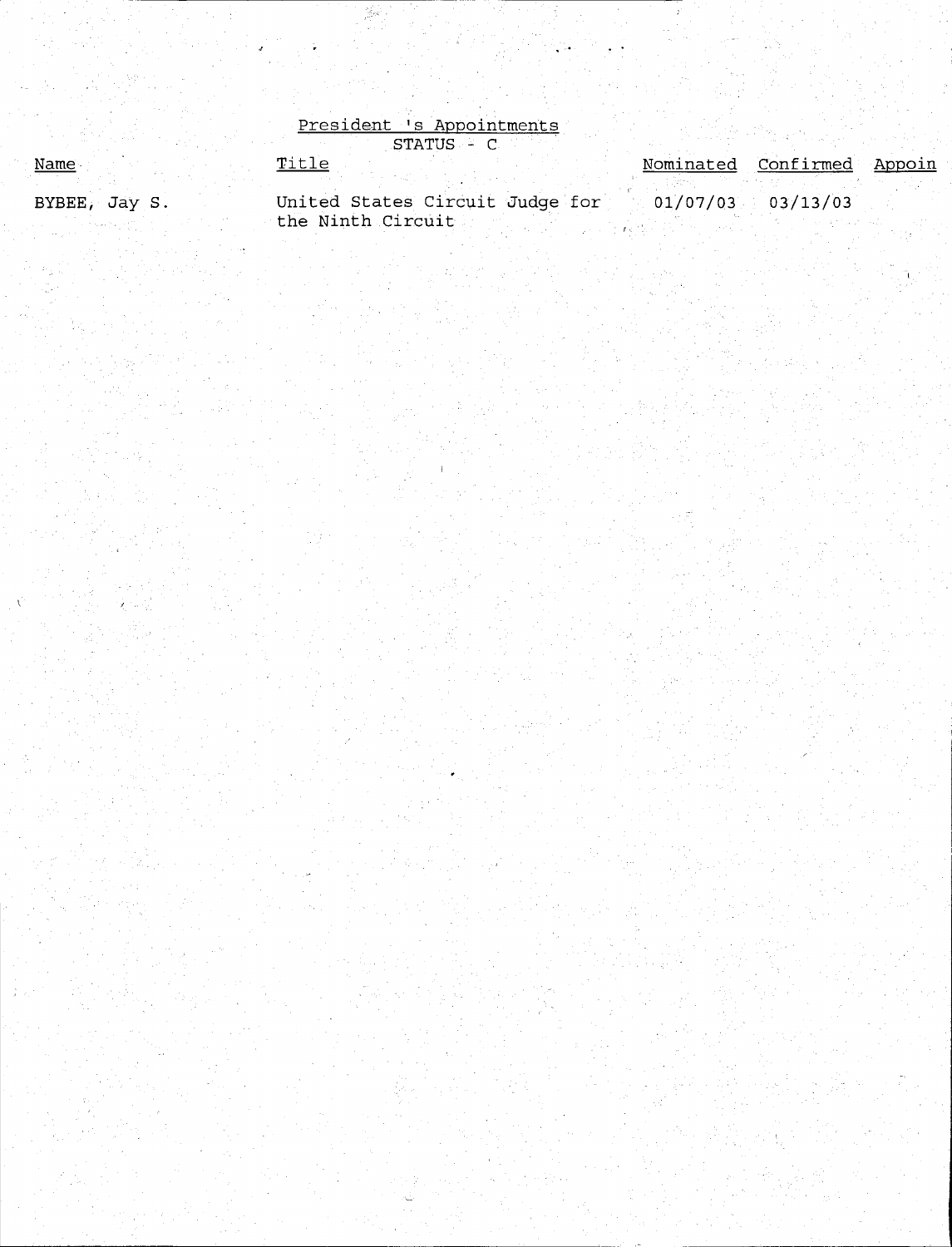|               | President 's Appointments       |  |                            |  |
|---------------|---------------------------------|--|----------------------------|--|
|               | STATUS - C                      |  |                            |  |
| Name          | Title                           |  | Nominated Confirmed Appoin |  |
|               |                                 |  |                            |  |
| BYBEE, Jay S. | United States Circuit Judge for |  | $01/07/03$ 03/13/03        |  |
|               | the Ninth Circuit               |  |                            |  |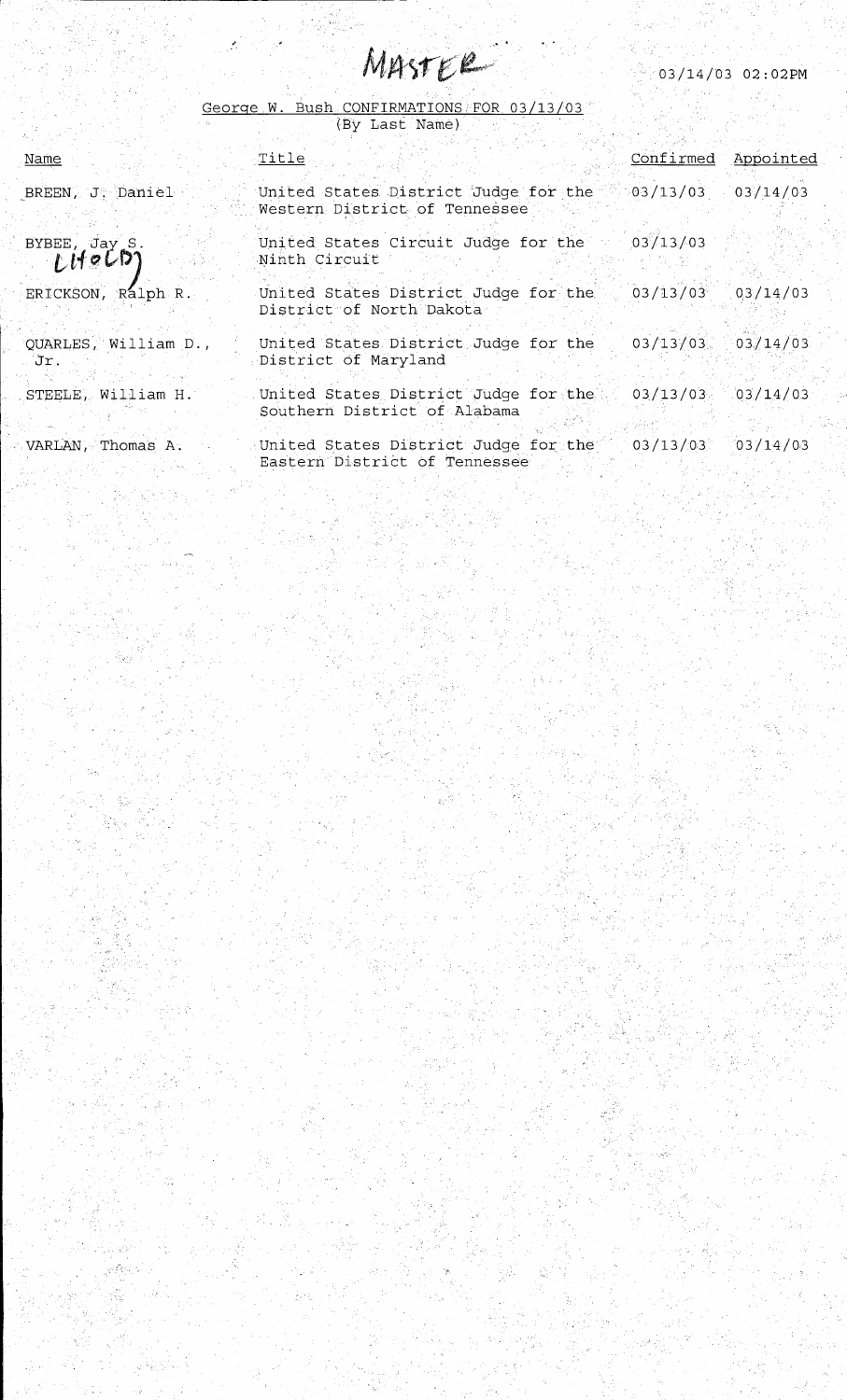| $03/14/03$ 02:02PM |  |
|--------------------|--|
|                    |  |
|                    |  |
|                    |  |

|  | George W. Bush CONFIRMATIONS FOR 03/13/03 |  |
|--|-------------------------------------------|--|
|  |                                           |  |

|                               | (By Last Name)                                                                            |                       |  |
|-------------------------------|-------------------------------------------------------------------------------------------|-----------------------|--|
| <u>Name</u>                   | Title                                                                                     | Confirmed Appointed   |  |
| BREEN, J. Daniel              | United States District Judge for the 8:03/13/03 03/14/03<br>Western District of Tennessee |                       |  |
| BYBEE, Jay S.<br>LHeCD        | United States Circuit Judge for the<br>Ninth Circuit                                      | 03/13/03              |  |
| ERICKSON, Ralph R.            | United States District Judge for the 03/13/03 03/14/03<br>District of North Dakota        |                       |  |
| QUARLES, William D.,<br>. Jr. | United States District Judge for the<br>District of Maryland                              | $03/13/03$ $03/14/03$ |  |
| STEELE, William H.            | United States District Judge for the<br>Southern District of Alabama                      | $03/13/03$ $03/14/03$ |  |
| VARLAN, Thomas A.             | United States District Judge for the 03/13/03 03/14/03<br>Eastern District of Tennessee   |                       |  |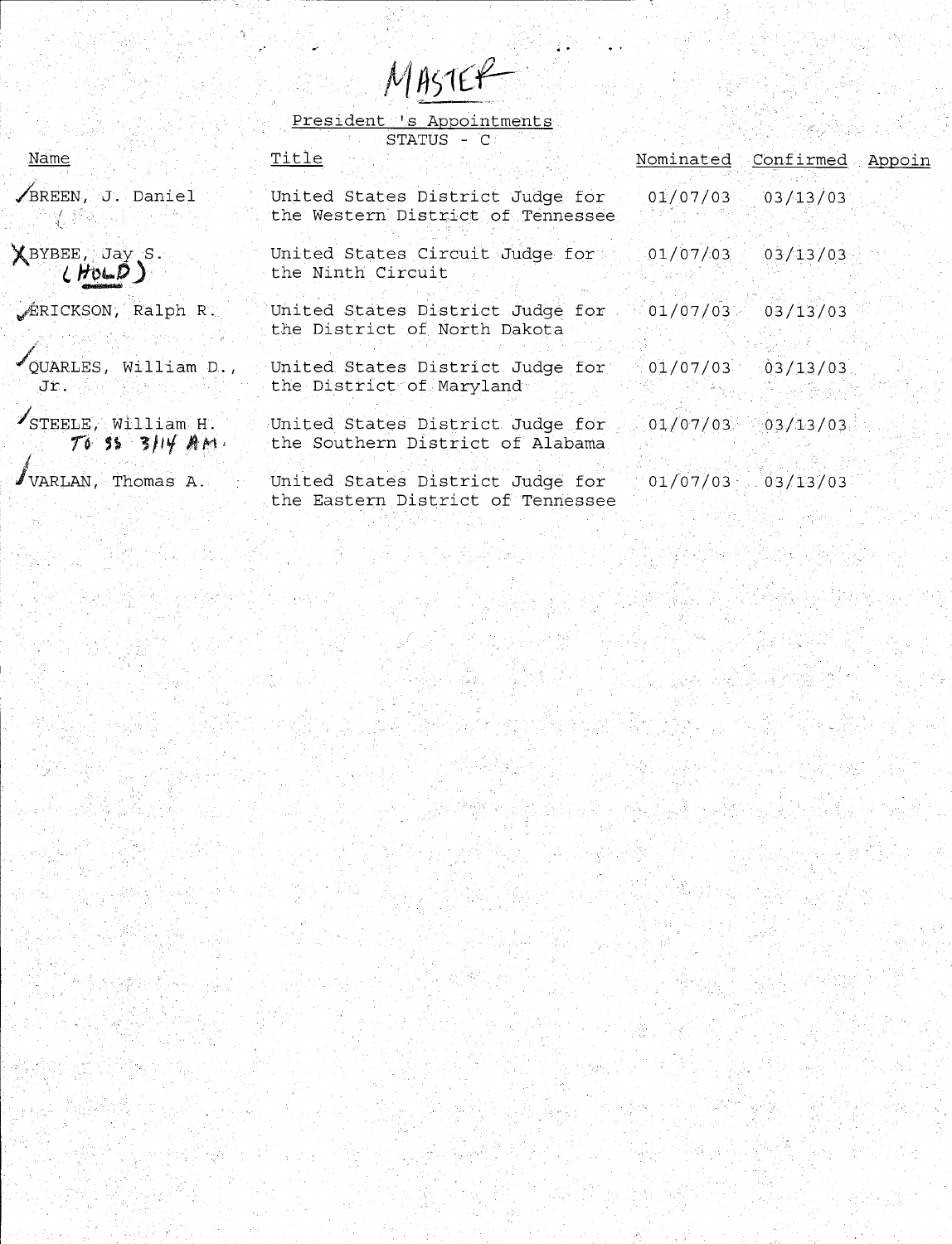MASTER<br>President 's Appointments

| Name                                   | STATUS - C<br>Title                                                                                               |                     | Nominated Confirmed Appoin |  |
|----------------------------------------|-------------------------------------------------------------------------------------------------------------------|---------------------|----------------------------|--|
| BREEN, J. Daniel                       | United States District Judge for 01/07/03 03/13/03<br>the Western District of Tennessee                           |                     |                            |  |
| $X$ BYBEE, Jay S.                      | United States Circuit Judge for 01/07/03 03/13/03<br>the Ninth Circuit                                            |                     |                            |  |
| FRICKSON, Ralph R.                     | United States District Judge for 01/07/03 03/13/03<br>the District of North Dakota                                |                     |                            |  |
| Jr.                                    | $\sim$ QUARLES, William D., United States District Judge for $\sim$ 01/07/03 03/13/03<br>the District of Maryland |                     |                            |  |
| STEELE, William H.<br>$70.55.3114$ AM. | United States District Judge for 01/07/03 03/13/03<br>the Southern District of Alabama                            |                     |                            |  |
| $\blacksquare$ VARLAN, Thomas A.       | United States District Judge for<br>the Eastern District of Tennessee                                             | $01/07/03$ 03/13/03 |                            |  |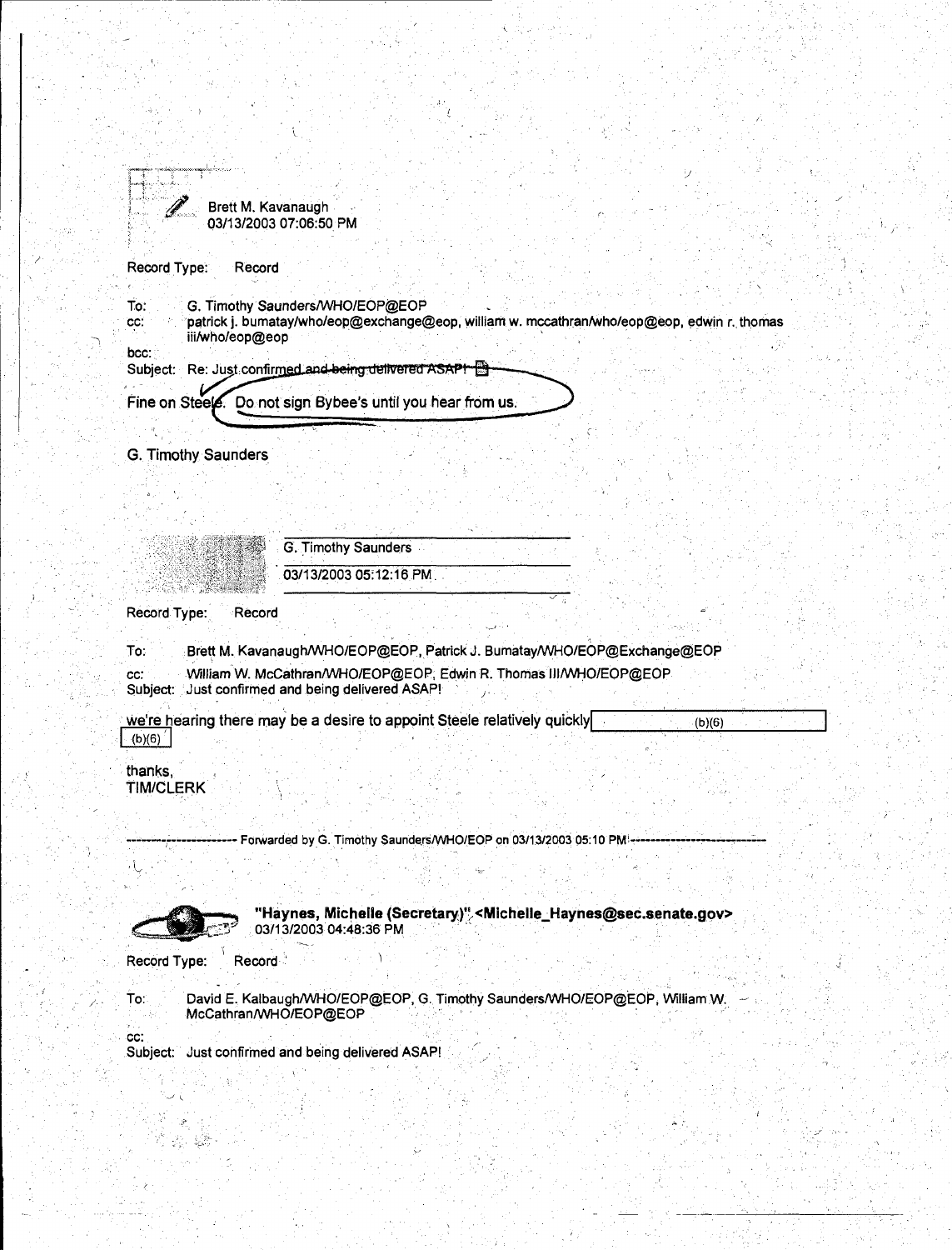|              | Brett M. Kavanaugh<br>03/13/2003 07:06:50 PM |  |
|--------------|----------------------------------------------|--|
|              |                                              |  |
| Record Type: | Record                                       |  |

To: G. Timothy Saunders/\NHO/EOP@EOP

cc: patrick j. bumatay/who/eop@exchange@eop, william w. mccathran/who/eop@eop, edwin *r ..* thomas iii/who/eop@eop · · ·

bcc: Subject: Re: Just confirmed and being delivered ASAPI B Fine on Steels. Do not sign Bybee's until you hear from us.

G. Timothy Saunders

*)* 

|                             | G. Timothy Saunders                                                                                                    |
|-----------------------------|------------------------------------------------------------------------------------------------------------------------|
|                             | 03/13/2003 05:12:16 PM                                                                                                 |
| Record Type:<br>Record      |                                                                                                                        |
| To:                         | Brett M. Kavanaugh/WHO/EOP@EOP, Patrick J. Bumatay/WHO/EOP@Exchange@EOP                                                |
| CC:                         | William W. McCathran/WHO/EOP@EOP, Edwin R. Thomas III/WHO/EOP@EOP<br>Subject: Just confirmed and being delivered ASAP! |
| (b)(6)                      | we're hearing there may be a desire to appoint Steele relatively quickly<br>(b)(6)                                     |
| thanks,<br><b>TIM/CLERK</b> |                                                                                                                        |
|                             | Forwarded by G. Timothy Saunders/WHO/EOP on 03/13/2003 05:10 PM                                                        |
|                             |                                                                                                                        |
|                             | "Haynes, Michelle (Secretary)" < Michelle_Haynes@sec.senate.gov><br>03/13/2003 04:48:36 PM                             |

Record Type: Record

.;

/·

To: \_\_\_\_\_David E. Kalbaugh/WHO/EOP@EOP, G. Timothy Saunders/WHO/EOP@EOP, William W.  $-$  . **McCathran/WHO/EOP@EOP** . 그 그 중 중에서 아이가 되는 것 같은 것이 아니지 아이에 가장 같이 있다.

 $\star$  :

. cc: Subject: Just confirmed and being delivered ASAP!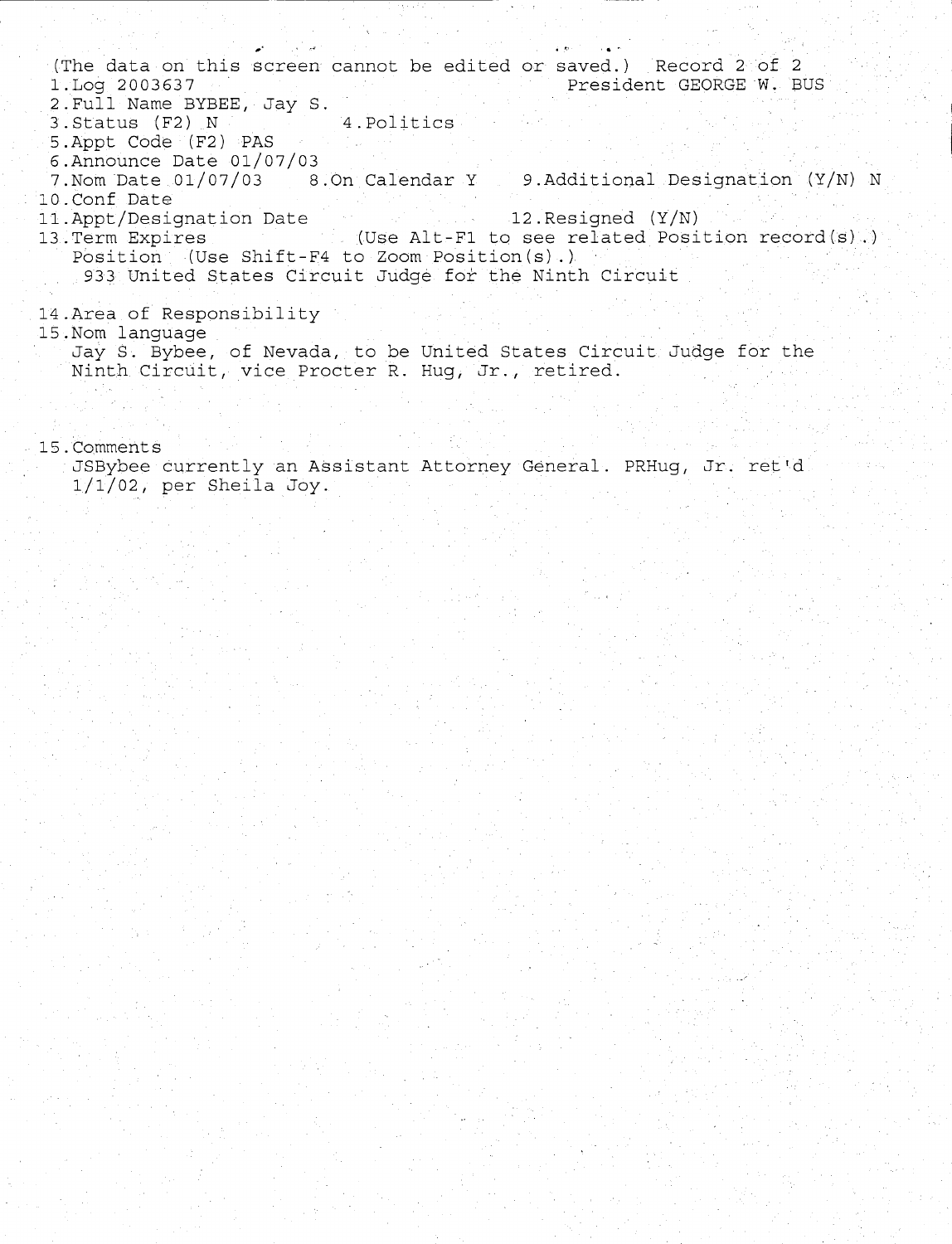... The data on this screen cannot be edited or saved.) Record 2 of 2<br>1.Log 2003637 President GEORGE W. B President GEORGE W. BUS

- 2.Full Name BYBEE, Jay S. 3. Status (F2) N 4. Politics
- 5.Appt Code (F2) PAS
- 6.Announce Date 01/07/03
- 7.Nom Date 01/07/03 8.0n Calendar Y 9.Additional Designation (Y/N) N 10.Conf Date
- 
- 11.Appt/Designation Date 12.Resigned (Y/N)<br>13.Term Expires (Use Alt-F1 to see related Posi  $13.55$  (Use Alt-Fl to see related Position record(s) .) Position (Use Shift-F4 to Zoom Position(s).)
	- 933 United States Circuit Judge for the Ninth Circuit
- 14.Area of Responsibility
- 15.Nom language

Jay S. Bybee, of Nevada, to be United States Circuit Judge for the Ninth Circuit, vice Procter R. Hug, Jr., retired.

15.Comments

JSBybee currently an Assistant Attorney General. PRHug, Jr. ret'd 1/1/02, per Sheila Joy.